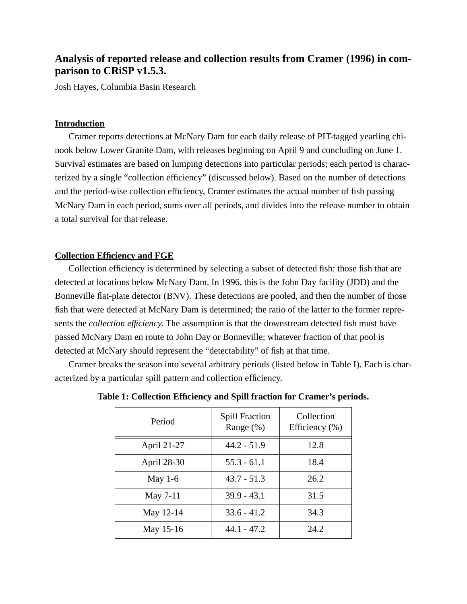# **Analysis of reported release and collection results from Cramer (1996) in comparison to CRiSP v1.5.3.**

Josh Hayes, Columbia Basin Research

### **Introduction**

Cramer reports detections at McNary Dam for each daily release of PIT-tagged yearling chinook below Lower Granite Dam, with releases beginning on April 9 and concluding on June 1. Survival estimates are based on lumping detections into particular periods; each period is characterized by a single "collection efficiency" (discussed below). Based on the number of detections and the period-wise collection efficiency, Cramer estimates the actual number of fish passing McNary Dam in each period, sums over all periods, and divides into the release number to obtain a total survival for that release.

### **Collection Efficiency and FGE**

Collection efficiency is determined by selecting a subset of detected fish: those fish that are detected at locations below McNary Dam. In 1996, this is the John Day facility (JDD) and the Bonneville flat-plate detector (BNV). These detections are pooled, and then the number of those fish that were detected at McNary Dam is determined; the ratio of the latter to the former represents the *collection efficiency*. The assumption is that the downstream detected fish must have passed McNary Dam en route to John Day or Bonneville; whatever fraction of that pool is detected at McNary should represent the "detectability" of fish at that time.

Cramer breaks the season into several arbitrary periods (listed below in Table I). Each is characterized by a particular spill pattern and collection efficiency.

| Period      | <b>Spill Fraction</b><br>Range $(\%)$ | Collection<br>Efficiency $(\% )$ |
|-------------|---------------------------------------|----------------------------------|
| April 21-27 | $44.2 - 51.9$                         | 12.8                             |
| April 28-30 | $55.3 - 61.1$                         | 18.4                             |
| May $1-6$   | $43.7 - 51.3$                         | 26.2                             |
| May 7-11    | $39.9 - 43.1$                         | 31.5                             |
| May 12-14   | $33.6 - 41.2$                         | 34.3                             |
| May 15-16   | $44.1 - 47.2$                         | 24.2                             |

**Table 1: Collection Efficiency and Spill fraction for Cramer's periods.**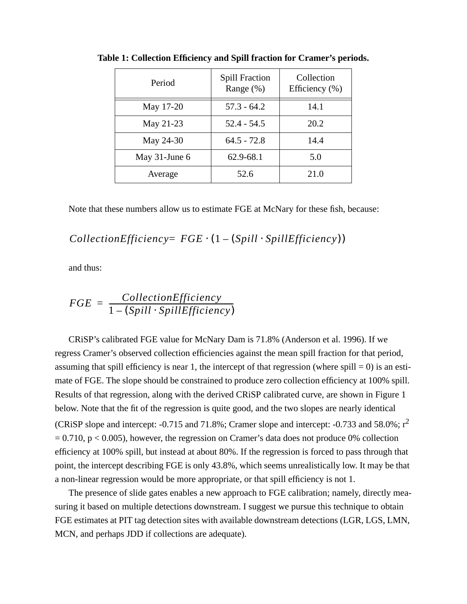| Period           | <b>Spill Fraction</b><br>Range $(\%)$ | Collection<br>Efficiency $(\% )$ |
|------------------|---------------------------------------|----------------------------------|
| May 17-20        | $57.3 - 64.2$                         | 14.1                             |
| May 21-23        | $52.4 - 54.5$                         | 20.2                             |
| May 24-30        | $64.5 - 72.8$                         | 14.4                             |
| May $31$ -June 6 | 62.9-68.1                             | 5.0                              |
| Average          | 52.6                                  | 21.0                             |

**Table 1: Collection Efficiency and Spill fraction for Cramer's periods.**

Note that these numbers allow us to estimate FGE at McNary for these fish, because:

## $CollectionEfficiency = FGE \cdot (1 - (Split \cdot SpillEfficiency))$

and thus:

$$
FGE = \frac{CollectionEfficiency}{1 - (Split \cdot SpillEfficiency)}
$$

CRiSP's calibrated FGE value for McNary Dam is 71.8% (Anderson et al. 1996). If we regress Cramer's observed collection efficiencies against the mean spill fraction for that period, assuming that spill efficiency is near 1, the intercept of that regression (where spill  $= 0$ ) is an estimate of FGE. The slope should be constrained to produce zero collection efficiency at 100% spill. Results of that regression, along with the derived CRiSP calibrated curve, are shown in Figure 1 below. Note that the fit of the regression is quite good, and the two slopes are nearly identical (CRiSP slope and intercept: -0.715 and 71.8%; Cramer slope and intercept: -0.733 and 58.0%; r<sup>2</sup>  $= 0.710$ , p  $< 0.005$ ), however, the regression on Cramer's data does not produce 0% collection efficiency at 100% spill, but instead at about 80%. If the regression is forced to pass through that point, the intercept describing FGE is only 43.8%, which seems unrealistically low. It may be that a non-linear regression would be more appropriate, or that spill efficiency is not 1.

The presence of slide gates enables a new approach to FGE calibration; namely, directly measuring it based on multiple detections downstream. I suggest we pursue this technique to obtain FGE estimates at PIT tag detection sites with available downstream detections (LGR, LGS, LMN, MCN, and perhaps JDD if collections are adequate).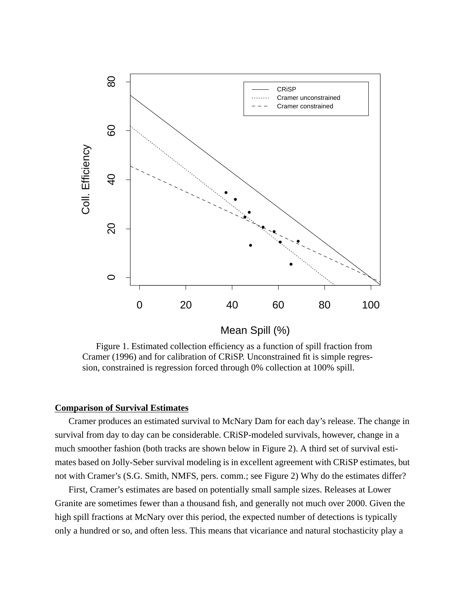

Figure 1. Estimated collection efficiency as a function of spill fraction from Cramer (1996) and for calibration of CRiSP. Unconstrained fit is simple regression, constrained is regression forced through 0% collection at 100% spill.

### **Comparison of Survival Estimates**

Cramer produces an estimated survival to McNary Dam for each day's release. The change in survival from day to day can be considerable. CRiSP-modeled survivals, however, change in a much smoother fashion (both tracks are shown below in Figure 2). A third set of survival estimates based on Jolly-Seber survival modeling is in excellent agreement with CRiSP estimates, but not with Cramer's (S.G. Smith, NMFS, pers. comm.; see Figure 2) Why do the estimates differ?

First, Cramer's estimates are based on potentially small sample sizes. Releases at Lower Granite are sometimes fewer than a thousand fish, and generally not much over 2000. Given the high spill fractions at McNary over this period, the expected number of detections is typically only a hundred or so, and often less. This means that vicariance and natural stochasticity play a